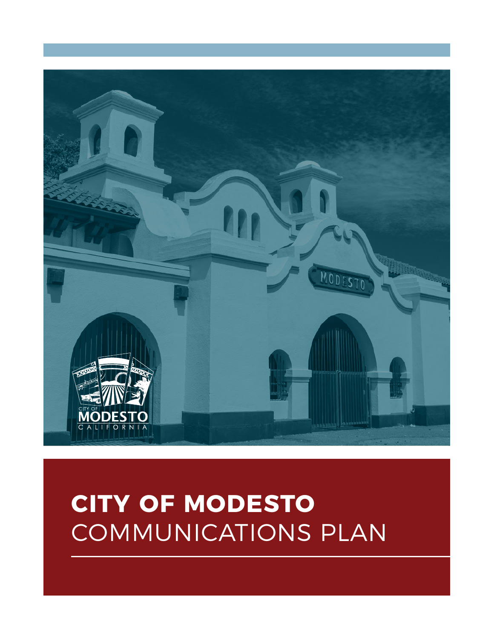

# **CITY OF MODESTO** COMMUNICATIONS PLAN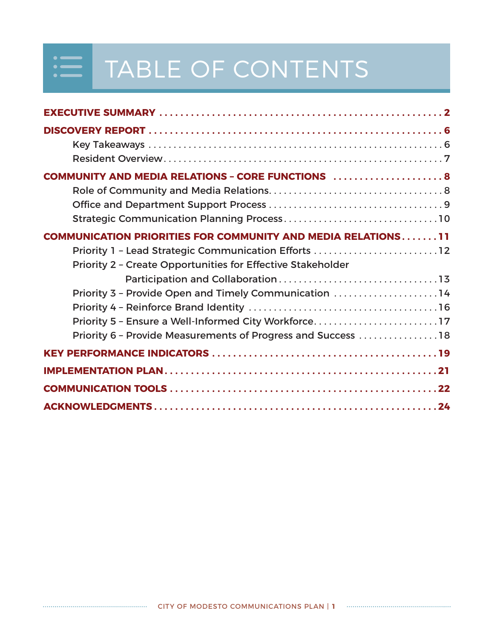## $\begin{array}{c} \begin{array}{c} \cdot \\ \hline \end{array} \end{array}$ TABLE OF CONTENTS

| <b>COMMUNITY AND MEDIA RELATIONS - CORE FUNCTIONS  8</b>                                                                                                                                                                                            |
|-----------------------------------------------------------------------------------------------------------------------------------------------------------------------------------------------------------------------------------------------------|
| <b>COMMUNICATION PRIORITIES FOR COMMUNITY AND MEDIA RELATIONS11</b><br>Priority 1 - Lead Strategic Communication Efforts 12<br>Priority 2 - Create Opportunities for Effective Stakeholder<br>Priority 3 - Provide Open and Timely Communication 14 |
| Priority 5 - Ensure a Well-Informed City Workforce17<br>Priority 6 - Provide Measurements of Progress and Success 18                                                                                                                                |
|                                                                                                                                                                                                                                                     |
|                                                                                                                                                                                                                                                     |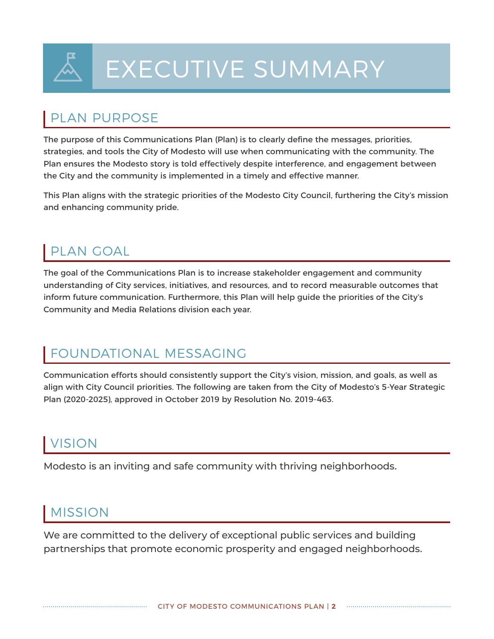

# EXECUTIVE SUMMARY

## PLAN PURPOSE

The purpose of this Communications Plan (Plan) is to clearly define the messages, priorities, strategies, and tools the City of Modesto will use when communicating with the community. The Plan ensures the Modesto story is told effectively despite interference, and engagement between the City and the community is implemented in a timely and effective manner.

This Plan aligns with the strategic priorities of the Modesto City Council, furthering the City's mission and enhancing community pride.

## PLAN GOAL

The goal of the Communications Plan is to increase stakeholder engagement and community understanding of City services, initiatives, and resources, and to record measurable outcomes that inform future communication. Furthermore, this Plan will help guide the priorities of the City's Community and Media Relations division each year.

## FOUNDATIONAL MESSAGING

Communication efforts should consistently support the City's vision, mission, and goals, as well as align with City Council priorities. The following are taken from the City of Modesto's 5-Year Strategic Plan (2020-2025), approved in October 2019 by Resolution No. 2019-463.

## VISION

Modesto is an inviting and safe community with thriving neighborhoods.

## MISSION

We are committed to the delivery of exceptional public services and building partnerships that promote economic prosperity and engaged neighborhoods.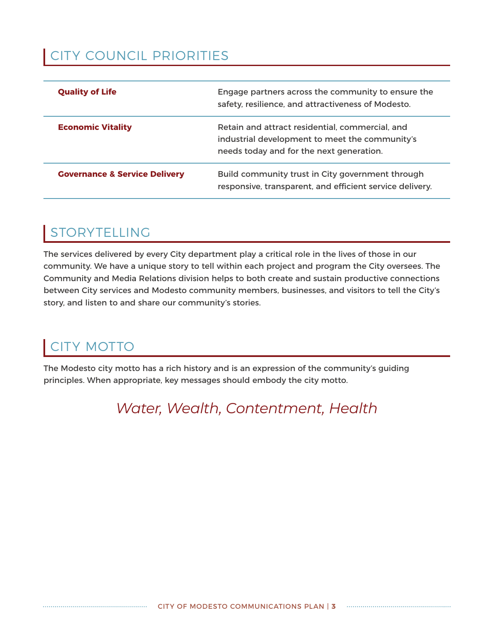## CITY COUNCIL PRIORITIES

| <b>Quality of Life</b>                   | Engage partners across the community to ensure the<br>safety, resilience, and attractiveness of Modesto.                                      |
|------------------------------------------|-----------------------------------------------------------------------------------------------------------------------------------------------|
| <b>Economic Vitality</b>                 | Retain and attract residential, commercial, and<br>industrial development to meet the community's<br>needs today and for the next generation. |
| <b>Governance &amp; Service Delivery</b> | Build community trust in City government through<br>responsive, transparent, and efficient service delivery.                                  |

## STORYTELLING

The services delivered by every City department play a critical role in the lives of those in our community. We have a unique story to tell within each project and program the City oversees. The Community and Media Relations division helps to both create and sustain productive connections between City services and Modesto community members, businesses, and visitors to tell the City's story, and listen to and share our community's stories.

## CITY MOTTO

The Modesto city motto has a rich history and is an expression of the community's guiding principles. When appropriate, key messages should embody the city motto.

## *Water, Wealth, Contentment, Health*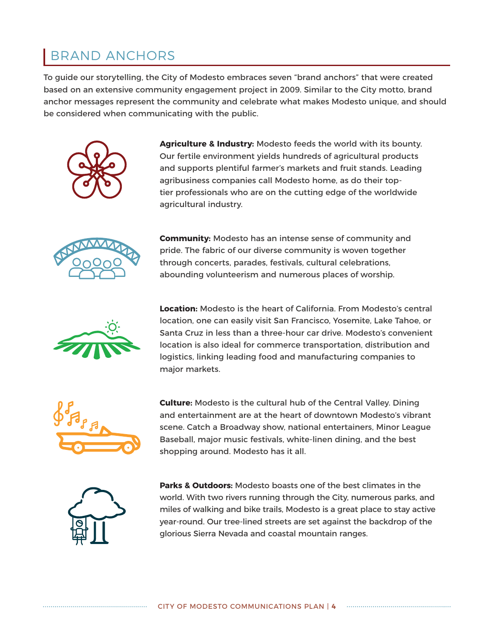## BRAND ANCHORS

To guide our storytelling, the City of Modesto embraces seven "brand anchors" that were created based on an extensive community engagement project in 2009. Similar to the City motto, brand anchor messages represent the community and celebrate what makes Modesto unique, and should be considered when communicating with the public.



**Agriculture & Industry:** Modesto feeds the world with its bounty. Our fertile environment yields hundreds of agricultural products and supports plentiful farmer's markets and fruit stands. Leading agribusiness companies call Modesto home, as do their toptier professionals who are on the cutting edge of the worldwide agricultural industry.



**Community:** Modesto has an intense sense of community and pride. The fabric of our diverse community is woven together through concerts, parades, festivals, cultural celebrations, abounding volunteerism and numerous places of worship.



**Location:** Modesto is the heart of California. From Modesto's central location, one can easily visit San Francisco, Yosemite, Lake Tahoe, or Santa Cruz in less than a three-hour car drive. Modesto's convenient location is also ideal for commerce transportation, distribution and logistics, linking leading food and manufacturing companies to major markets.



**Culture:** Modesto is the cultural hub of the Central Valley. Dining and entertainment are at the heart of downtown Modesto's vibrant scene. Catch a Broadway show, national entertainers, Minor League Baseball, major music festivals, white-linen dining, and the best shopping around. Modesto has it all.



**Parks & Outdoors:** Modesto boasts one of the best climates in the world. With two rivers running through the City, numerous parks, and miles of walking and bike trails, Modesto is a great place to stay active year-round. Our tree-lined streets are set against the backdrop of the glorious Sierra Nevada and coastal mountain ranges.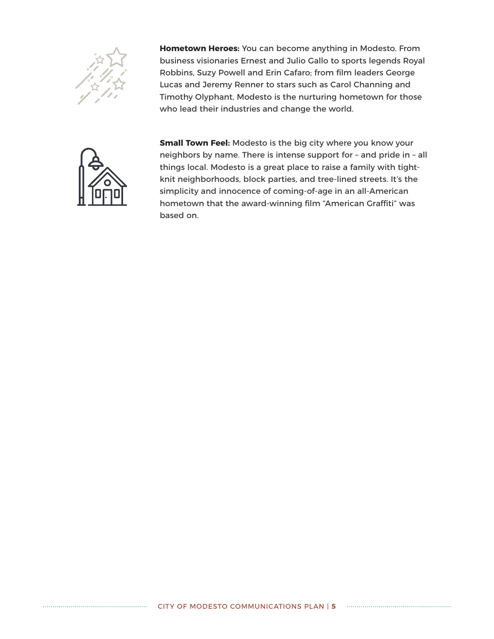

**Hometown Heroes:** You can become anything in Modesto. From business visionaries Ernest and Julio Gallo to sports legends Royal Robbins, Suzy Powell and Erin Cafaro; from film leaders George Lucas and Jeremy Renner to stars such as Carol Channing and Timothy Olyphant, Modesto is the nurturing hometown for those who lead their industries and change the world.



**Small Town Feel:** Modesto is the big city where you know your neighbors by name. There is intense support for – and pride in – all things local. Modesto is a great place to raise a family with tightknit neighborhoods, block parties, and tree-lined streets. It's the simplicity and innocence of coming-of-age in an all-American hometown that the award-winning film "American Graffiti" was based on.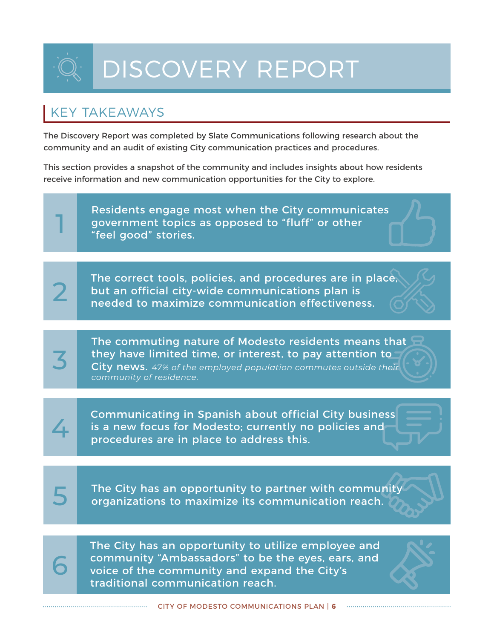# DISCOVERY REPORT

## KEY TAKEAWAYS

The Discovery Report was completed by Slate Communications following research about the community and an audit of existing City communication practices and procedures.

This section provides a snapshot of the community and includes insights about how residents receive information and new communication opportunities for the City to explore.

1 3 2  $4<sup>1</sup>$ 5 6 Residents engage most when the City communicates government topics as opposed to "fluff" or other "feel good" stories. The correct tools, policies, and procedures are in place, but an official city-wide communications plan is needed to maximize communication effectiveness. The commuting nature of Modesto residents means that they have limited time, or interest, to pay attention to City news. *47% of the employed population commutes outside their community of residence.* Communicating in Spanish about official City business is a new focus for Modesto; currently no policies and procedures are in place to address this. The City has an opportunity to partner with community organizations to maximize its communication reach. The City has an opportunity to utilize employee and community "Ambassadors" to be the eyes, ears, and voice of the community and expand the City's traditional communication reach.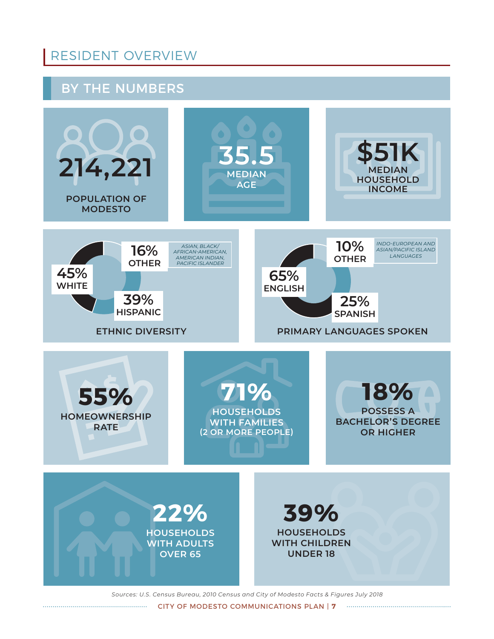## RESIDENT OVERVIEW

### BY THE NUMBERS



*Sources: U.S. Census Bureau, 2010 Census and City of Modesto Facts & Figures July 2018*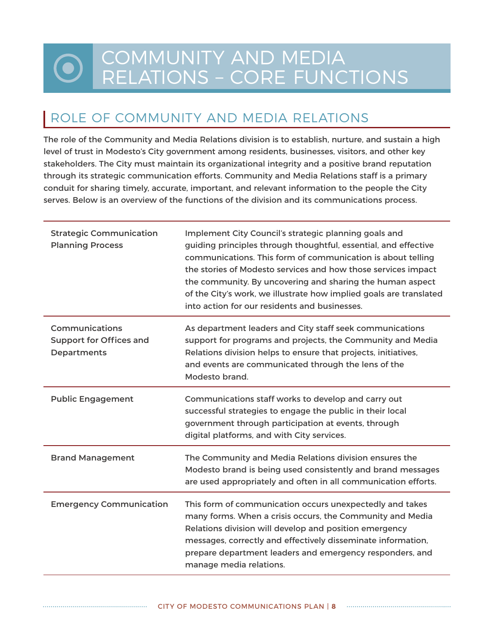## COMMUNITY AND MEDIA RELATIONS – CORE FUNCTIONS

## ROLE OF COMMUNITY AND MEDIA RELATIONS

The role of the Community and Media Relations division is to establish, nurture, and sustain a high level of trust in Modesto's City government among residents, businesses, visitors, and other key stakeholders. The City must maintain its organizational integrity and a positive brand reputation through its strategic communication efforts. Community and Media Relations staff is a primary conduit for sharing timely, accurate, important, and relevant information to the people the City serves. Below is an overview of the functions of the division and its communications process.

| <b>Strategic Communication</b><br><b>Planning Process</b>              | Implement City Council's strategic planning goals and<br>guiding principles through thoughtful, essential, and effective<br>communications. This form of communication is about telling<br>the stories of Modesto services and how those services impact<br>the community. By uncovering and sharing the human aspect<br>of the City's work, we illustrate how implied goals are translated<br>into action for our residents and businesses. |
|------------------------------------------------------------------------|----------------------------------------------------------------------------------------------------------------------------------------------------------------------------------------------------------------------------------------------------------------------------------------------------------------------------------------------------------------------------------------------------------------------------------------------|
| <b>Communications</b><br><b>Support for Offices and</b><br>Departments | As department leaders and City staff seek communications<br>support for programs and projects, the Community and Media<br>Relations division helps to ensure that projects, initiatives,<br>and events are communicated through the lens of the<br>Modesto brand.                                                                                                                                                                            |
| <b>Public Engagement</b>                                               | Communications staff works to develop and carry out<br>successful strategies to engage the public in their local<br>government through participation at events, through<br>digital platforms, and with City services.                                                                                                                                                                                                                        |
| <b>Brand Management</b>                                                | The Community and Media Relations division ensures the<br>Modesto brand is being used consistently and brand messages<br>are used appropriately and often in all communication efforts.                                                                                                                                                                                                                                                      |
| <b>Emergency Communication</b>                                         | This form of communication occurs unexpectedly and takes<br>many forms. When a crisis occurs, the Community and Media<br>Relations division will develop and position emergency<br>messages, correctly and effectively disseminate information,<br>prepare department leaders and emergency responders, and<br>manage media relations.                                                                                                       |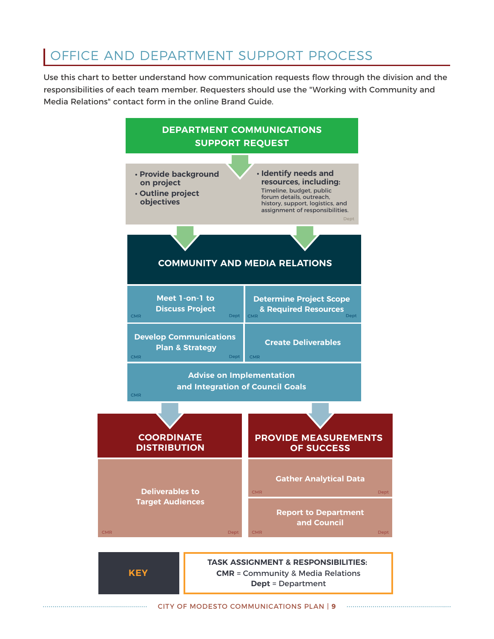## OFFICE AND DEPARTMENT SUPPORT PROCESS

Use this chart to better understand how communication requests flow through the division and the responsibilities of each team member. Requesters should use the "Working with Community and Media Relations" contact form in the online Brand Guide.



**CMR** = Community & Media Relations **Dept** = Department

**KEY**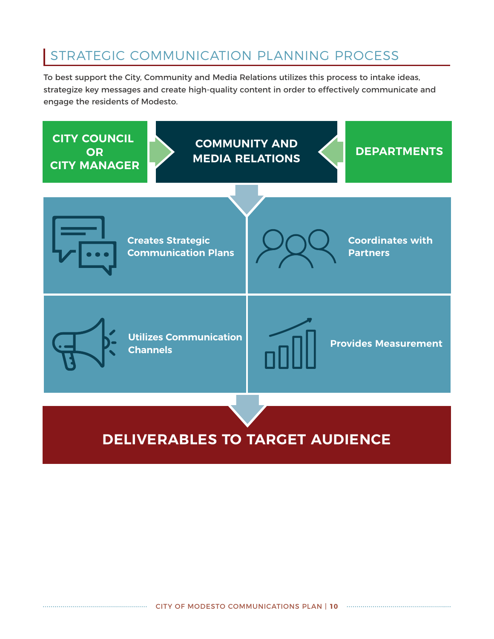## STRATEGIC COMMUNICATION PLANNING PROCESS

To best support the City, Community and Media Relations utilizes this process to intake ideas, strategize key messages and create high-quality content in order to effectively communicate and engage the residents of Modesto.

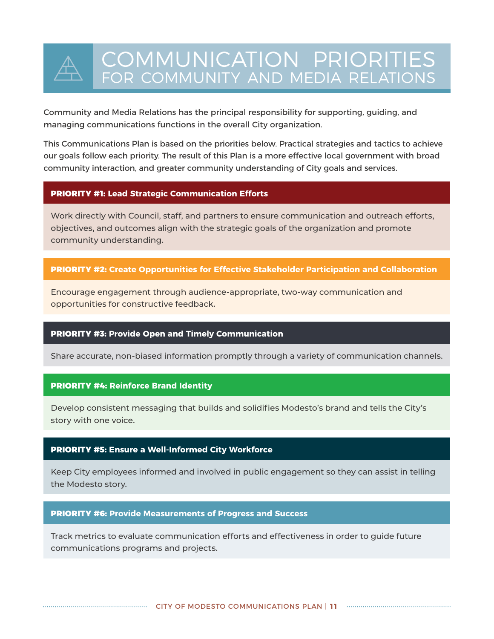## COMMUNICATION PRIORITIES FOR COMMUNITY AND MEDIA RELATIONS

Community and Media Relations has the principal responsibility for supporting, guiding, and managing communications functions in the overall City organization.

This Communications Plan is based on the priorities below. Practical strategies and tactics to achieve our goals follow each priority. The result of this Plan is a more effective local government with broad community interaction, and greater community understanding of City goals and services.

#### PRIORITY #1: **Lead Strategic Communication Efforts**

Work directly with Council, staff, and partners to ensure communication and outreach efforts, objectives, and outcomes align with the strategic goals of the organization and promote community understanding.

#### PRIORITY #2: **Create Opportunities for Effective Stakeholder Participation and Collaboration**

Encourage engagement through audience-appropriate, two-way communication and opportunities for constructive feedback.

#### PRIORITY #3: **Provide Open and Timely Communication**

Share accurate, non-biased information promptly through a variety of communication channels.

#### PRIORITY #4: **Reinforce Brand Identity**

Develop consistent messaging that builds and solidifies Modesto's brand and tells the City's story with one voice.

#### PRIORITY #5: **Ensure a Well-Informed City Workforce**

Keep City employees informed and involved in public engagement so they can assist in telling the Modesto story.

#### PRIORITY #6: **Provide Measurements of Progress and Success**

Track metrics to evaluate communication efforts and effectiveness in order to guide future communications programs and projects.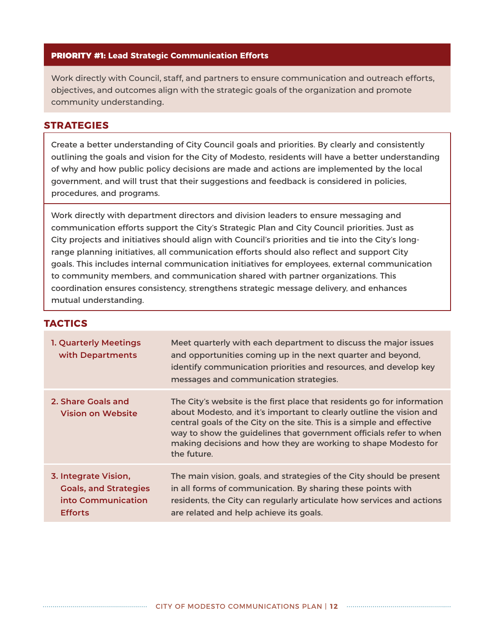#### PRIORITY #1: **Lead Strategic Communication Efforts**

Work directly with Council, staff, and partners to ensure communication and outreach efforts, objectives, and outcomes align with the strategic goals of the organization and promote community understanding.

#### **STRATEGIES**

Create a better understanding of City Council goals and priorities. By clearly and consistently outlining the goals and vision for the City of Modesto, residents will have a better understanding of why and how public policy decisions are made and actions are implemented by the local government, and will trust that their suggestions and feedback is considered in policies, procedures, and programs.

Work directly with department directors and division leaders to ensure messaging and communication efforts support the City's Strategic Plan and City Council priorities. Just as City projects and initiatives should align with Council's priorities and tie into the City's longrange planning initiatives, all communication efforts should also reflect and support City goals. This includes internal communication initiatives for employees, external communication to community members, and communication shared with partner organizations. This coordination ensures consistency, strengthens strategic message delivery, and enhances mutual understanding.

#### **TACTICS**

| 1. Quarterly Meetings<br>with Departments                                                    | Meet quarterly with each department to discuss the major issues<br>and opportunities coming up in the next quarter and beyond,<br>identify communication priorities and resources, and develop key<br>messages and communication strategies.                                                                                                                                   |
|----------------------------------------------------------------------------------------------|--------------------------------------------------------------------------------------------------------------------------------------------------------------------------------------------------------------------------------------------------------------------------------------------------------------------------------------------------------------------------------|
| 2. Share Goals and<br><b>Vision on Website</b>                                               | The City's website is the first place that residents go for information<br>about Modesto, and it's important to clearly outline the vision and<br>central goals of the City on the site. This is a simple and effective<br>way to show the guidelines that government officials refer to when<br>making decisions and how they are working to shape Modesto for<br>the future. |
| 3. Integrate Vision,<br><b>Goals, and Strategies</b><br>into Communication<br><b>Efforts</b> | The main vision, goals, and strategies of the City should be present<br>in all forms of communication. By sharing these points with<br>residents, the City can regularly articulate how services and actions<br>are related and help achieve its goals.                                                                                                                        |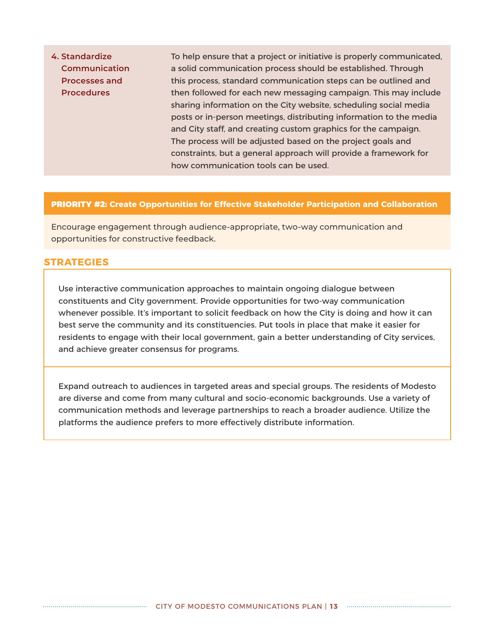**4. Standardize Communication Processes and Procedures** To help ensure that a project or initiative is properly communicated, a solid communication process should be established. Through this process, standard communication steps can be outlined and then followed for each new messaging campaign. This may include sharing information on the City website, scheduling social media posts or in-person meetings, distributing information to the media and City staff, and creating custom graphics for the campaign. The process will be adjusted based on the project goals and constraints, but a general approach will provide a framework for how communication tools can be used.

#### PRIORITY #2: **Create Opportunities for Effective Stakeholder Participation and Collaboration**

Encourage engagement through audience-appropriate, two-way communication and opportunities for constructive feedback.

#### **STRATEGIES**

Use interactive communication approaches to maintain ongoing dialogue between constituents and City government. Provide opportunities for two-way communication whenever possible. It's important to solicit feedback on how the City is doing and how it can best serve the community and its constituencies. Put tools in place that make it easier for residents to engage with their local government, gain a better understanding of City services, and achieve greater consensus for programs.

Expand outreach to audiences in targeted areas and special groups. The residents of Modesto are diverse and come from many cultural and socio-economic backgrounds. Use a variety of communication methods and leverage partnerships to reach a broader audience. Utilize the platforms the audience prefers to more effectively distribute information.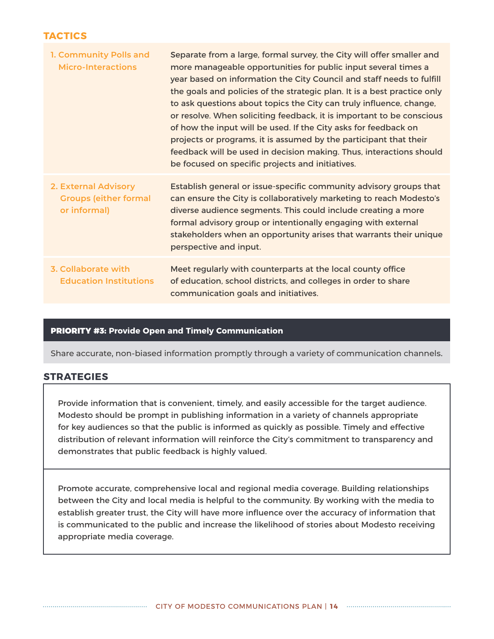#### **TACTICS**

| 1. Community Polls and<br><b>Micro-Interactions</b>                  | Separate from a large, formal survey, the City will offer smaller and<br>more manageable opportunities for public input several times a<br>year based on information the City Council and staff needs to fulfill<br>the goals and policies of the strategic plan. It is a best practice only<br>to ask questions about topics the City can truly influence, change,<br>or resolve. When soliciting feedback, it is important to be conscious<br>of how the input will be used. If the City asks for feedback on<br>projects or programs, it is assumed by the participant that their<br>feedback will be used in decision making. Thus, interactions should<br>be focused on specific projects and initiatives. |
|----------------------------------------------------------------------|-----------------------------------------------------------------------------------------------------------------------------------------------------------------------------------------------------------------------------------------------------------------------------------------------------------------------------------------------------------------------------------------------------------------------------------------------------------------------------------------------------------------------------------------------------------------------------------------------------------------------------------------------------------------------------------------------------------------|
| 2. External Advisory<br><b>Groups (either formal</b><br>or informal) | Establish general or issue-specific community advisory groups that<br>can ensure the City is collaboratively marketing to reach Modesto's<br>diverse audience segments. This could include creating a more<br>formal advisory group or intentionally engaging with external<br>stakeholders when an opportunity arises that warrants their unique<br>perspective and input.                                                                                                                                                                                                                                                                                                                                     |
| 3. Collaborate with<br><b>Education Institutions</b>                 | Meet regularly with counterparts at the local county office<br>of education, school districts, and colleges in order to share<br>communication goals and initiatives.                                                                                                                                                                                                                                                                                                                                                                                                                                                                                                                                           |

#### PRIORITY #3: **Provide Open and Timely Communication**

Share accurate, non-biased information promptly through a variety of communication channels.

#### **STRATEGIES**

Provide information that is convenient, timely, and easily accessible for the target audience. Modesto should be prompt in publishing information in a variety of channels appropriate for key audiences so that the public is informed as quickly as possible. Timely and effective distribution of relevant information will reinforce the City's commitment to transparency and demonstrates that public feedback is highly valued.

Promote accurate, comprehensive local and regional media coverage. Building relationships between the City and local media is helpful to the community. By working with the media to establish greater trust, the City will have more influence over the accuracy of information that is communicated to the public and increase the likelihood of stories about Modesto receiving appropriate media coverage.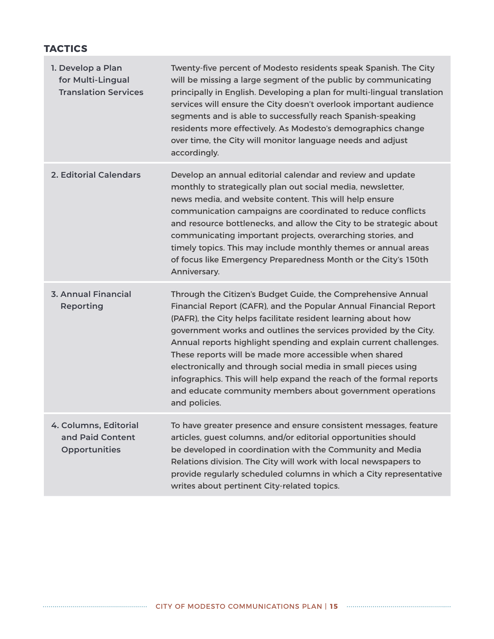#### **TACTICS**

| 1. Develop a Plan<br>for Multi-Lingual<br><b>Translation Services</b> | Twenty-five percent of Modesto residents speak Spanish. The City<br>will be missing a large segment of the public by communicating<br>principally in English. Developing a plan for multi-lingual translation<br>services will ensure the City doesn't overlook important audience<br>segments and is able to successfully reach Spanish-speaking<br>residents more effectively. As Modesto's demographics change<br>over time, the City will monitor language needs and adjust<br>accordingly.                                                                                                                            |
|-----------------------------------------------------------------------|----------------------------------------------------------------------------------------------------------------------------------------------------------------------------------------------------------------------------------------------------------------------------------------------------------------------------------------------------------------------------------------------------------------------------------------------------------------------------------------------------------------------------------------------------------------------------------------------------------------------------|
| <b>2. Editorial Calendars</b>                                         | Develop an annual editorial calendar and review and update<br>monthly to strategically plan out social media, newsletter,<br>news media, and website content. This will help ensure<br>communication campaigns are coordinated to reduce conflicts<br>and resource bottlenecks, and allow the City to be strategic about<br>communicating important projects, overarching stories, and<br>timely topics. This may include monthly themes or annual areas<br>of focus like Emergency Preparedness Month or the City's 150th<br>Anniversary.                                                                                 |
| <b>3. Annual Financial</b><br>Reporting                               | Through the Citizen's Budget Guide, the Comprehensive Annual<br>Financial Report (CAFR), and the Popular Annual Financial Report<br>(PAFR), the City helps facilitate resident learning about how<br>government works and outlines the services provided by the City.<br>Annual reports highlight spending and explain current challenges.<br>These reports will be made more accessible when shared<br>electronically and through social media in small pieces using<br>infographics. This will help expand the reach of the formal reports<br>and educate community members about government operations<br>and policies. |
| 4. Columns, Editorial<br>and Paid Content<br><b>Opportunities</b>     | To have greater presence and ensure consistent messages, feature<br>articles, guest columns, and/or editorial opportunities should<br>be developed in coordination with the Community and Media<br>Relations division. The City will work with local newspapers to<br>provide regularly scheduled columns in which a City representative<br>writes about pertinent City-related topics.                                                                                                                                                                                                                                    |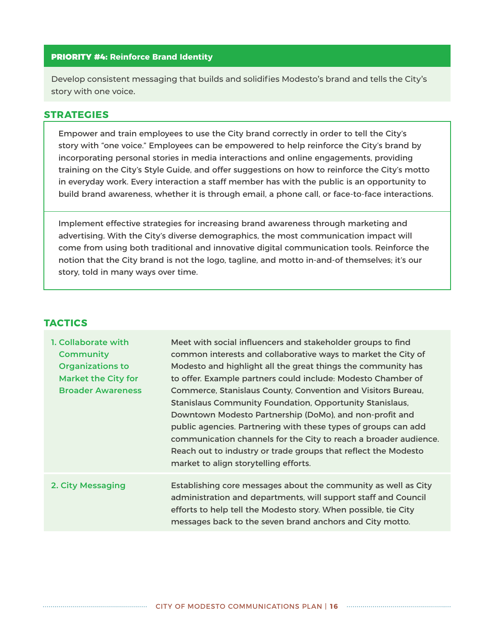#### PRIORITY #4: **Reinforce Brand Identity**

Develop consistent messaging that builds and solidifies Modesto's brand and tells the City's story with one voice.

#### **STRATEGIES**

Empower and train employees to use the City brand correctly in order to tell the City's story with "one voice." Employees can be empowered to help reinforce the City's brand by incorporating personal stories in media interactions and online engagements, providing training on the City's Style Guide, and offer suggestions on how to reinforce the City's motto in everyday work. Every interaction a staff member has with the public is an opportunity to build brand awareness, whether it is through email, a phone call, or face-to-face interactions.

Implement effective strategies for increasing brand awareness through marketing and advertising. With the City's diverse demographics, the most communication impact will come from using both traditional and innovative digital communication tools. Reinforce the notion that the City brand is not the logo, tagline, and motto in-and-of themselves; it's our story, told in many ways over time.

#### **TACTICS**

| 1. Collaborate with<br><b>Community</b><br><b>Organizations to</b><br><b>Market the City for</b><br><b>Broader Awareness</b> | Meet with social influencers and stakeholder groups to find<br>common interests and collaborative ways to market the City of<br>Modesto and highlight all the great things the community has<br>to offer. Example partners could include: Modesto Chamber of<br>Commerce, Stanislaus County, Convention and Visitors Bureau,<br><b>Stanislaus Community Foundation, Opportunity Stanislaus,</b><br>Downtown Modesto Partnership (DoMo), and non-profit and<br>public agencies. Partnering with these types of groups can add<br>communication channels for the City to reach a broader audience.<br>Reach out to industry or trade groups that reflect the Modesto<br>market to align storytelling efforts. |
|------------------------------------------------------------------------------------------------------------------------------|-------------------------------------------------------------------------------------------------------------------------------------------------------------------------------------------------------------------------------------------------------------------------------------------------------------------------------------------------------------------------------------------------------------------------------------------------------------------------------------------------------------------------------------------------------------------------------------------------------------------------------------------------------------------------------------------------------------|
| 2. City Messaging                                                                                                            | Establishing core messages about the community as well as City<br>administration and departments, will support staff and Council<br>efforts to help tell the Modesto story. When possible, tie City<br>messages back to the seven brand anchors and City motto.                                                                                                                                                                                                                                                                                                                                                                                                                                             |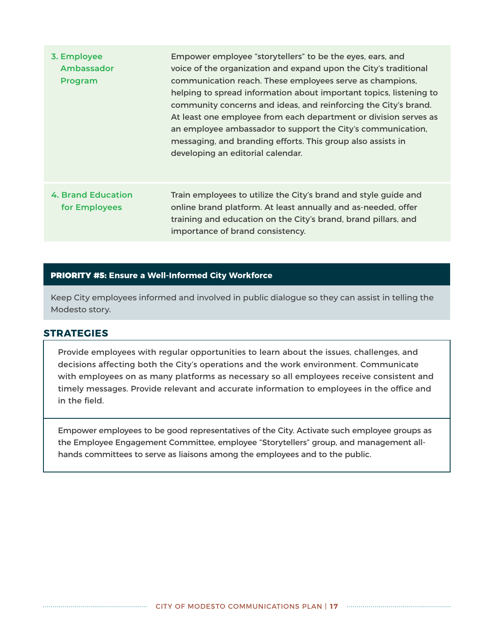| 3. Employee<br>Ambassador<br>Program | Empower employee "storytellers" to be the eyes, ears, and<br>voice of the organization and expand upon the City's traditional<br>communication reach. These employees serve as champions,<br>helping to spread information about important topics, listening to<br>community concerns and ideas, and reinforcing the City's brand.<br>At least one employee from each department or division serves as<br>an employee ambassador to support the City's communication,<br>messaging, and branding efforts. This group also assists in<br>developing an editorial calendar. |
|--------------------------------------|---------------------------------------------------------------------------------------------------------------------------------------------------------------------------------------------------------------------------------------------------------------------------------------------------------------------------------------------------------------------------------------------------------------------------------------------------------------------------------------------------------------------------------------------------------------------------|
| 4. Brand Education<br>for Employees  | Train employees to utilize the City's brand and style guide and<br>online brand platform. At least annually and as-needed, offer<br>training and education on the City's brand, brand pillars, and<br>importance of brand consistency.                                                                                                                                                                                                                                                                                                                                    |

#### PRIORITY #5: **Ensure a Well-Informed City Workforce**

Keep City employees informed and involved in public dialogue so they can assist in telling the Modesto story.

#### **STRATEGIES**

Provide employees with regular opportunities to learn about the issues, challenges, and decisions affecting both the City's operations and the work environment. Communicate with employees on as many platforms as necessary so all employees receive consistent and timely messages. Provide relevant and accurate information to employees in the office and in the field.

Empower employees to be good representatives of the City. Activate such employee groups as the Employee Engagement Committee, employee "Storytellers" group, and management allhands committees to serve as liaisons among the employees and to the public.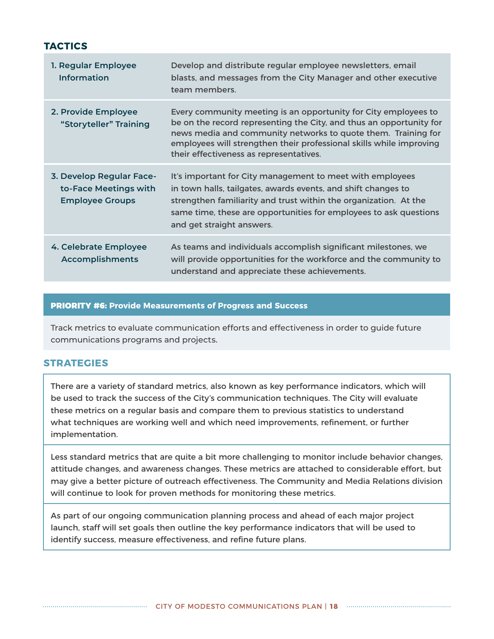#### **TACTICS**

| 1. Regular Employee<br><b>Information</b>                                   | Develop and distribute regular employee newsletters, email<br>blasts, and messages from the City Manager and other executive<br>team members.                                                                                                                                                                             |
|-----------------------------------------------------------------------------|---------------------------------------------------------------------------------------------------------------------------------------------------------------------------------------------------------------------------------------------------------------------------------------------------------------------------|
| 2. Provide Employee<br>"Storyteller" Training                               | Every community meeting is an opportunity for City employees to<br>be on the record representing the City, and thus an opportunity for<br>news media and community networks to quote them. Training for<br>employees will strengthen their professional skills while improving<br>their effectiveness as representatives. |
| 3. Develop Regular Face-<br>to-Face Meetings with<br><b>Employee Groups</b> | It's important for City management to meet with employees<br>in town halls, tailgates, awards events, and shift changes to<br>strengthen familiarity and trust within the organization. At the<br>same time, these are opportunities for employees to ask questions<br>and get straight answers.                          |
| 4. Celebrate Employee<br><b>Accomplishments</b>                             | As teams and individuals accomplish significant milestones, we<br>will provide opportunities for the workforce and the community to<br>understand and appreciate these achievements.                                                                                                                                      |

#### PRIORITY #6: **Provide Measurements of Progress and Success**

Track metrics to evaluate communication efforts and effectiveness in order to guide future communications programs and projects.

#### **STRATEGIES**

There are a variety of standard metrics, also known as key performance indicators, which will be used to track the success of the City's communication techniques. The City will evaluate these metrics on a regular basis and compare them to previous statistics to understand what techniques are working well and which need improvements, refinement, or further implementation.

Less standard metrics that are quite a bit more challenging to monitor include behavior changes, attitude changes, and awareness changes. These metrics are attached to considerable effort, but may give a better picture of outreach effectiveness. The Community and Media Relations division will continue to look for proven methods for monitoring these metrics.

As part of our ongoing communication planning process and ahead of each major project launch, staff will set goals then outline the key performance indicators that will be used to identify success, measure effectiveness, and refine future plans.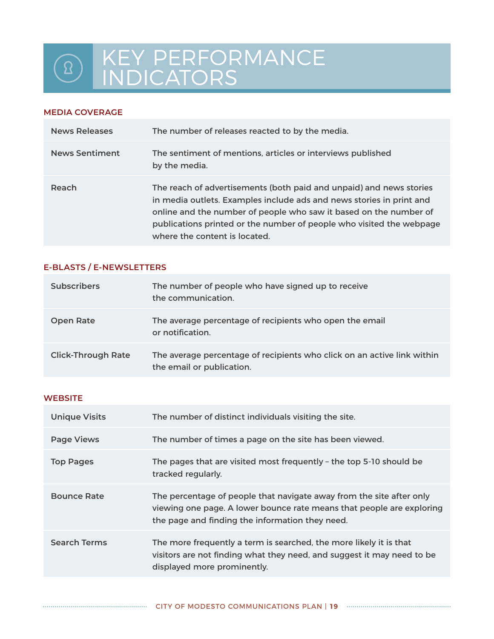## KEY PERFORMANCE  $\boxed{8}$ INDICATORS

#### **MEDIA COVERAGE**

| News Releases         | The number of releases reacted to by the media.                                                                                                                                                                                                                                                                           |
|-----------------------|---------------------------------------------------------------------------------------------------------------------------------------------------------------------------------------------------------------------------------------------------------------------------------------------------------------------------|
| <b>News Sentiment</b> | The sentiment of mentions, articles or interviews published<br>by the media.                                                                                                                                                                                                                                              |
| Reach                 | The reach of advertisements (both paid and unpaid) and news stories<br>in media outlets. Examples include ads and news stories in print and<br>online and the number of people who saw it based on the number of<br>publications printed or the number of people who visited the webpage<br>where the content is located. |

#### **E-BLASTS / E-NEWSLETTERS**

| <b>Subscribers</b>        | The number of people who have signed up to receive<br>the communication.                             |
|---------------------------|------------------------------------------------------------------------------------------------------|
| <b>Open Rate</b>          | The average percentage of recipients who open the email<br>or notification.                          |
| <b>Click-Through Rate</b> | The average percentage of recipients who click on an active link within<br>the email or publication. |

#### **WEBSITE**

| <b>Unique Visits</b> | The number of distinct individuals visiting the site.                                                                                                                                            |
|----------------------|--------------------------------------------------------------------------------------------------------------------------------------------------------------------------------------------------|
| <b>Page Views</b>    | The number of times a page on the site has been viewed.                                                                                                                                          |
| <b>Top Pages</b>     | The pages that are visited most frequently - the top 5-10 should be<br>tracked regularly.                                                                                                        |
| <b>Bounce Rate</b>   | The percentage of people that navigate away from the site after only<br>viewing one page. A lower bounce rate means that people are exploring<br>the page and finding the information they need. |
| <b>Search Terms</b>  | The more frequently a term is searched, the more likely it is that<br>visitors are not finding what they need, and suggest it may need to be<br>displayed more prominently.                      |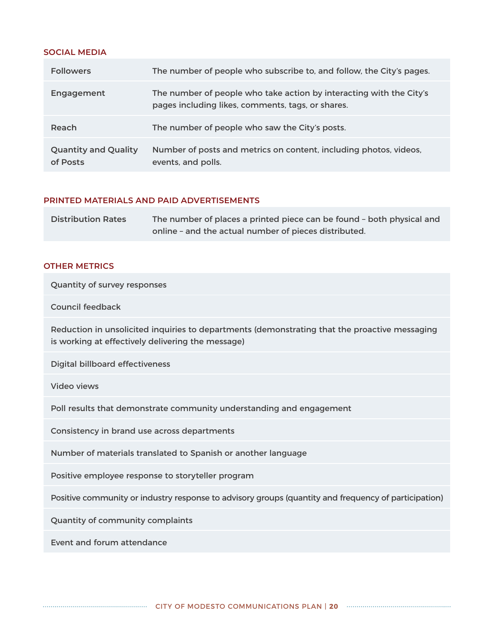#### **SOCIAL MEDIA**

| <b>Followers</b>                        | The number of people who subscribe to, and follow, the City's pages.                                                     |
|-----------------------------------------|--------------------------------------------------------------------------------------------------------------------------|
| Engagement                              | The number of people who take action by interacting with the City's<br>pages including likes, comments, tags, or shares. |
| Reach                                   | The number of people who saw the City's posts.                                                                           |
| <b>Quantity and Quality</b><br>of Posts | Number of posts and metrics on content, including photos, videos,<br>events, and polls.                                  |

#### **PRINTED MATERIALS AND PAID ADVERTISEMENTS**

| <b>Distribution Rates</b> | The number of places a printed piece can be found - both physical and |
|---------------------------|-----------------------------------------------------------------------|
|                           | online - and the actual number of pieces distributed.                 |

#### **OTHER METRICS**

Quantity of survey responses

#### Council feedback

Reduction in unsolicited inquiries to departments (demonstrating that the proactive messaging is working at effectively delivering the message)

Digital billboard effectiveness

Video views

Poll results that demonstrate community understanding and engagement

Consistency in brand use across departments

Number of materials translated to Spanish or another language

Positive employee response to storyteller program

Positive community or industry response to advisory groups (quantity and frequency of participation)

Quantity of community complaints

Event and forum attendance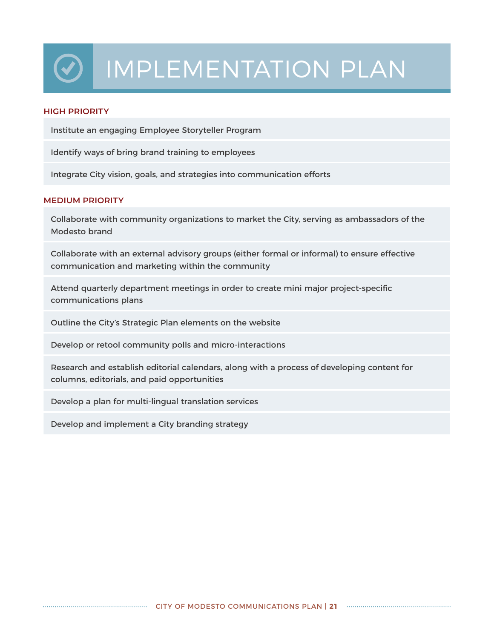# IMPLEMENTATION PLAN

#### **HIGH PRIORITY**

Institute an engaging Employee Storyteller Program

Identify ways of bring brand training to employees

Integrate City vision, goals, and strategies into communication efforts

#### **MEDIUM PRIORITY**

Collaborate with community organizations to market the City, serving as ambassadors of the Modesto brand

Collaborate with an external advisory groups (either formal or informal) to ensure effective communication and marketing within the community

Attend quarterly department meetings in order to create mini major project-specific communications plans

Outline the City's Strategic Plan elements on the website

Develop or retool community polls and micro-interactions

Research and establish editorial calendars, along with a process of developing content for columns, editorials, and paid opportunities

Develop a plan for multi-lingual translation services

Develop and implement a City branding strategy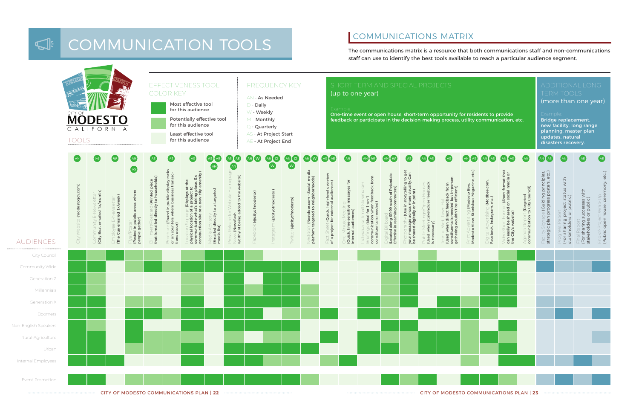#### COMMUNICATIONS MATRIX  $\overline{\mathbb{S}}$ COMMUNICATION TOOLS ICATIONI TOOLS MATRIX IS





| esidents to provide<br>ity communication, etc.                       |                                                                |                                                                                                         |                                                           | ONG<br>ONAL<br><b>TOOLS</b><br>ERM<br>(more than one year)<br>Example:<br>Bridge replacement,<br>new facility, long range<br>planning, master plan<br>updates, natural<br>disasters recovery. |                                                                                |                                                                       |                                                               |
|----------------------------------------------------------------------|----------------------------------------------------------------|---------------------------------------------------------------------------------------------------------|-----------------------------------------------------------|-----------------------------------------------------------------------------------------------------------------------------------------------------------------------------------------------|--------------------------------------------------------------------------------|-----------------------------------------------------------------------|---------------------------------------------------------------|
| AS                                                                   | AS<br>AN                                                       | AN<br>AS                                                                                                | AN                                                        | AS<br>AN                                                                                                                                                                                      | AN                                                                             | AE                                                                    | AE                                                            |
| Modesto View, Stanislaus Magazine, etc.)<br>יים או אין אין אין אין א | Digital Advertising (Modbee.com,<br>Facebook, Instagram, etc.) | Video Short Format (Short format that<br>can easily be shared on social media or<br>the City's website) | communication to City Council)<br>Agenda Report (Targeted | Facility Signage (Guiding principles,<br>strategic plan progress posters, etc.                                                                                                                | (For sharing project status with<br>stakeholders or public)<br>Progress Report | (For sharing successes with<br>stakeholders or public<br>Final Report | (Public open house, ceremony, etc.)<br>End-of-Project Wrap-Up |
|                                                                      |                                                                |                                                                                                         |                                                           |                                                                                                                                                                                               |                                                                                |                                                                       |                                                               |
|                                                                      |                                                                |                                                                                                         |                                                           |                                                                                                                                                                                               |                                                                                |                                                                       |                                                               |
|                                                                      |                                                                |                                                                                                         |                                                           |                                                                                                                                                                                               |                                                                                |                                                                       |                                                               |
|                                                                      |                                                                |                                                                                                         |                                                           |                                                                                                                                                                                               |                                                                                |                                                                       |                                                               |
|                                                                      |                                                                |                                                                                                         |                                                           |                                                                                                                                                                                               |                                                                                |                                                                       |                                                               |
|                                                                      |                                                                |                                                                                                         |                                                           |                                                                                                                                                                                               |                                                                                |                                                                       |                                                               |
|                                                                      |                                                                |                                                                                                         |                                                           |                                                                                                                                                                                               |                                                                                |                                                                       |                                                               |
|                                                                      |                                                                |                                                                                                         |                                                           |                                                                                                                                                                                               |                                                                                |                                                                       |                                                               |
|                                                                      |                                                                |                                                                                                         |                                                           |                                                                                                                                                                                               |                                                                                |                                                                       |                                                               |

staff can use to identify the best tools and

## COMMUNICATIONS MATRIX

The communications matrix is a resource that both communications staff and non-communications staff can use to identify the best tools available to reach a particular audience segment.